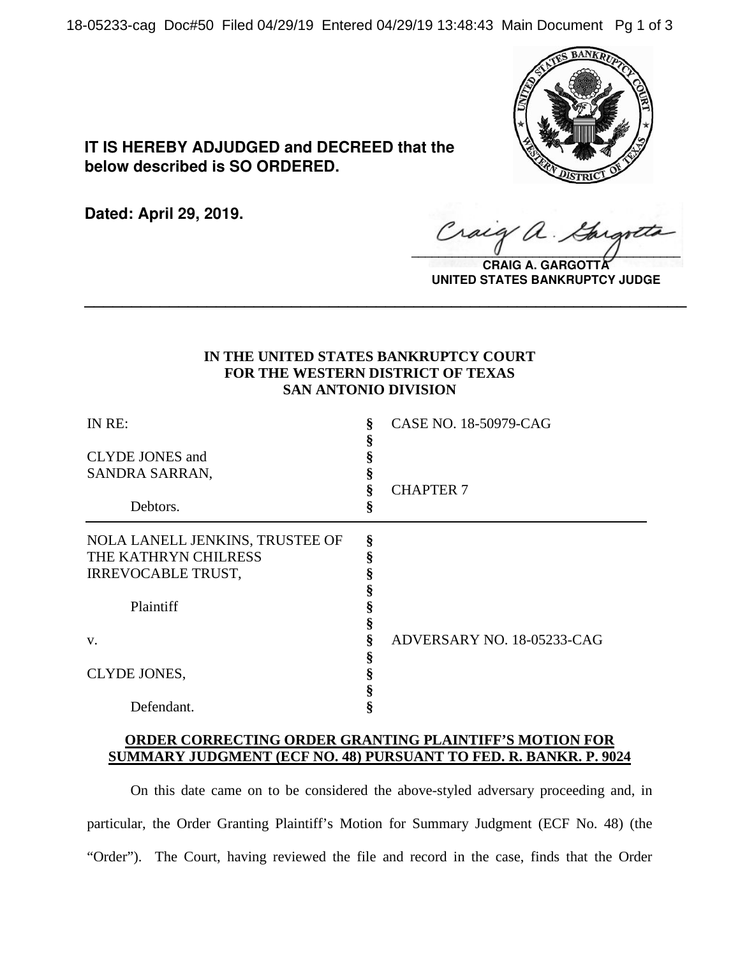18-05233-cag Doc#50 Filed 04/29/19 Entered 04/29/19 13:48:43 Main Document Pg 1 of 3



**IT IS HEREBY ADJUDGED and DECREED that the below described is SO ORDERED.**

**Dated: April 29, 2019.**

 $\sqrt{2}$ 

**CRAIG A. GARGOTT UNITED STATES BANKRUPTCY JUDGE**

## **IN THE UNITED STATES BANKRUPTCY COURT FOR THE WESTERN DISTRICT OF TEXAS SAN ANTONIO DIVISION**

**\_\_\_\_\_\_\_\_\_\_\_\_\_\_\_\_\_\_\_\_\_\_\_\_\_\_\_\_\_\_\_\_\_\_\_\_\_\_\_\_\_\_\_\_\_\_\_\_\_\_\_\_\_\_\_\_\_\_\_\_\_\_\_\_**

| IN RE:<br><b>CLYDE JONES</b> and<br>SANDRA SARRAN,<br>Debtors. | ş<br>§ | CASE NO. 18-50979-CAG<br><b>CHAPTER 7</b> |
|----------------------------------------------------------------|--------|-------------------------------------------|
| NOLA LANELL JENKINS, TRUSTEE OF                                | §      |                                           |
| THE KATHRYN CHILRESS                                           |        |                                           |
| <b>IRREVOCABLE TRUST,</b>                                      | 8      |                                           |
|                                                                |        |                                           |
| Plaintiff                                                      |        |                                           |
|                                                                | \$     |                                           |
| V.                                                             |        | ADVERSARY NO. 18-05233-CAG                |
|                                                                | 8      |                                           |
| CLYDE JONES,                                                   | §      |                                           |
|                                                                |        |                                           |
| Defendant.                                                     |        |                                           |

## **ORDER CORRECTING ORDER GRANTING PLAINTIFF'S MOTION FOR SUMMARY JUDGMENT (ECF NO. 48) PURSUANT TO FED. R. BANKR. P. 9024**

On this date came on to be considered the above-styled adversary proceeding and, in particular, the Order Granting Plaintiff's Motion for Summary Judgment (ECF No. 48) (the "Order"). The Court, having reviewed the file and record in the case, finds that the Order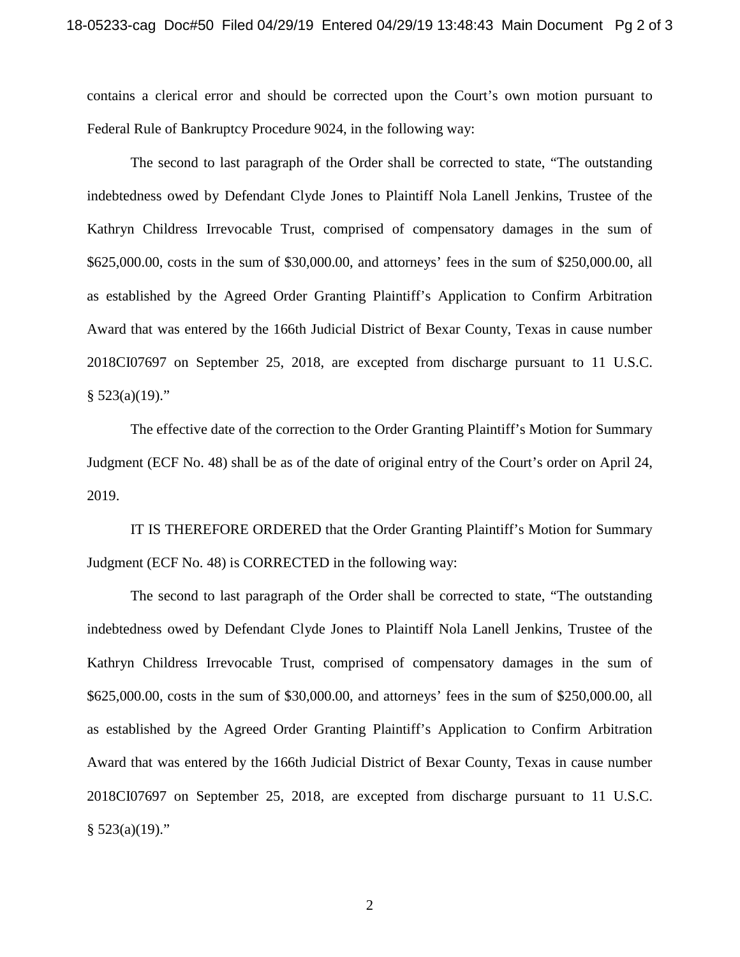contains a clerical error and should be corrected upon the Court's own motion pursuant to Federal Rule of Bankruptcy Procedure 9024, in the following way:

The second to last paragraph of the Order shall be corrected to state, "The outstanding indebtedness owed by Defendant Clyde Jones to Plaintiff Nola Lanell Jenkins, Trustee of the Kathryn Childress Irrevocable Trust, comprised of compensatory damages in the sum of \$625,000.00, costs in the sum of \$30,000.00, and attorneys' fees in the sum of \$250,000.00, all as established by the Agreed Order Granting Plaintiff's Application to Confirm Arbitration Award that was entered by the 166th Judicial District of Bexar County, Texas in cause number 2018CI07697 on September 25, 2018, are excepted from discharge pursuant to 11 U.S.C.  $§ 523(a)(19)."$ 

The effective date of the correction to the Order Granting Plaintiff's Motion for Summary Judgment (ECF No. 48) shall be as of the date of original entry of the Court's order on April 24, 2019.

IT IS THEREFORE ORDERED that the Order Granting Plaintiff's Motion for Summary Judgment (ECF No. 48) is CORRECTED in the following way:

The second to last paragraph of the Order shall be corrected to state, "The outstanding indebtedness owed by Defendant Clyde Jones to Plaintiff Nola Lanell Jenkins, Trustee of the Kathryn Childress Irrevocable Trust, comprised of compensatory damages in the sum of \$625,000.00, costs in the sum of \$30,000.00, and attorneys' fees in the sum of \$250,000.00, all as established by the Agreed Order Granting Plaintiff's Application to Confirm Arbitration Award that was entered by the 166th Judicial District of Bexar County, Texas in cause number 2018CI07697 on September 25, 2018, are excepted from discharge pursuant to 11 U.S.C.  $§ 523(a)(19)."$